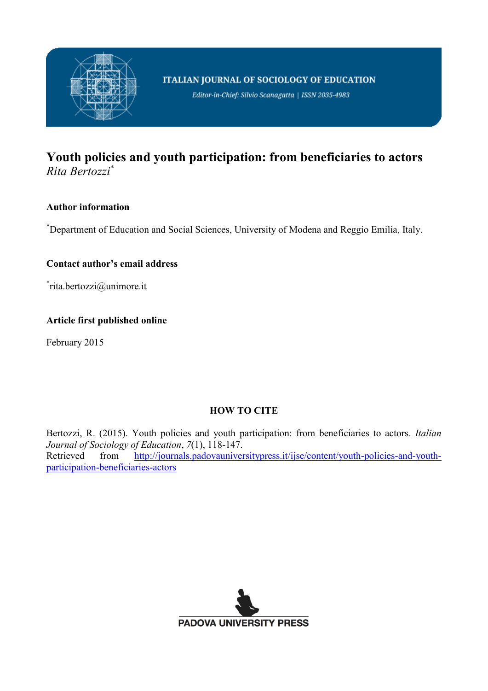

Editor-in-Chief: Silvio Scanagatta | ISSN 2035-4983

# **Youth policies and youth participation: from beneficiaries to actors** *Rita Bertozzi*\*

# **Author information**

\*Department of Education and Social Sciences, University of Modena and Reggio Emilia, Italy.

# **Contact author's email address**

\* rita.bertozzi@unimore.it

## **Article first published online**

February 2015

## **HOW TO CITE**

Bertozzi, R. (2015). Youth policies and youth participation: from beneficiaries to actors. *Italian Journal of Sociology of Education*, *7*(1), 118-147. Retrieved from [http://journals.padovauniversitypress.it/ijse/content/youth-policies-and-youth](http://journals.padovauniversitypress.it/ijse/content/youth-policies-and-youth-participation-beneficiaries-actors)[participation-beneficiaries-actors](http://journals.padovauniversitypress.it/ijse/content/youth-policies-and-youth-participation-beneficiaries-actors)

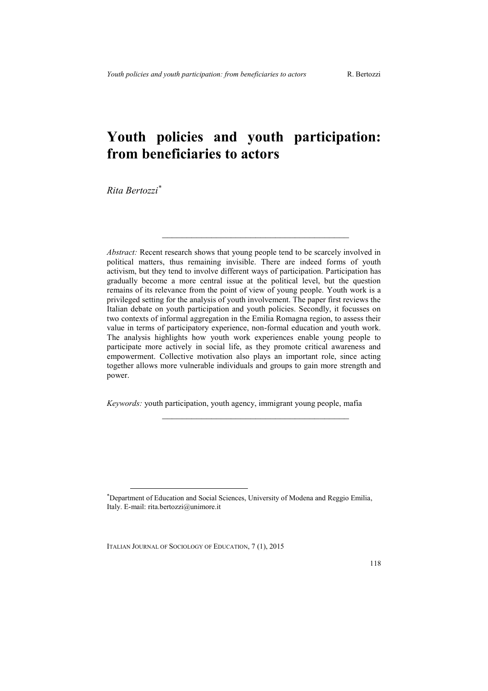# **Youth policies and youth participation: from beneficiaries to actors**

*Rita Bertozzi\**

 $\overline{a}$ 

*Abstract:* Recent research shows that young people tend to be scarcely involved in political matters, thus remaining invisible. There are indeed forms of youth activism, but they tend to involve different ways of participation. Participation has gradually become a more central issue at the political level, but the question remains of its relevance from the point of view of young people. Youth work is a privileged setting for the analysis of youth involvement. The paper first reviews the Italian debate on youth participation and youth policies. Secondly, it focusses on two contexts of informal aggregation in the Emilia Romagna region, to assess their value in terms of participatory experience, non-formal education and youth work. The analysis highlights how youth work experiences enable young people to participate more actively in social life, as they promote critical awareness and empowerment. Collective motivation also plays an important role, since acting together allows more vulnerable individuals and groups to gain more strength and power.

 $\mathcal{L}_\text{max}$  and  $\mathcal{L}_\text{max}$  and  $\mathcal{L}_\text{max}$  and  $\mathcal{L}_\text{max}$ 

*Keywords:* youth participation, youth agency, immigrant young people, mafia

 $\mathcal{L}_\text{max}$ 

<sup>\*</sup>Department of Education and Social Sciences, University of Modena and Reggio Emilia, Italy. E-mail: rita.bertozzi@unimore.it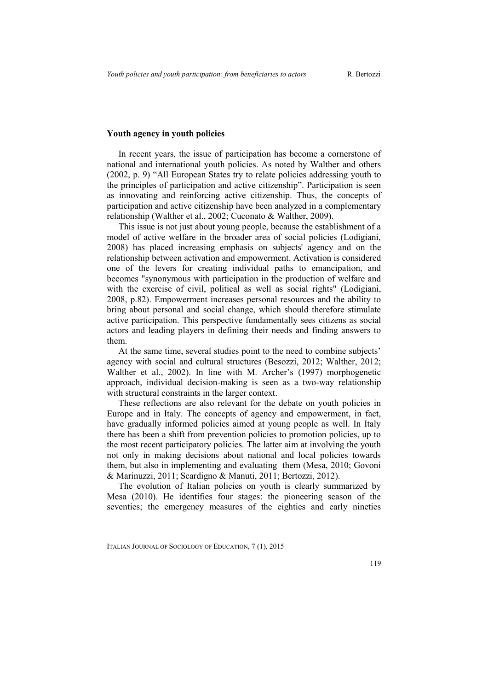### **Youth agency in youth policies**

In recent years, the issue of participation has become a cornerstone of national and international youth policies. As noted by Walther and others (2002, p. 9) "All European States try to relate policies addressing youth to the principles of participation and active citizenship". Participation is seen as innovating and reinforcing active citizenship. Thus, the concepts of participation and active citizenship have been analyzed in a complementary relationship (Walther et al., 2002; Cuconato & Walther, 2009).

This issue is not just about young people, because the establishment of a model of active welfare in the broader area of social policies (Lodigiani, 2008) has placed increasing emphasis on subjects' agency and on the relationship between activation and empowerment. Activation is considered one of the levers for creating individual paths to emancipation, and becomes "synonymous with participation in the production of welfare and with the exercise of civil, political as well as social rights" (Lodigiani, 2008, p.82). Empowerment increases personal resources and the ability to bring about personal and social change, which should therefore stimulate active participation. This perspective fundamentally sees citizens as social actors and leading players in defining their needs and finding answers to them.

At the same time, several studies point to the need to combine subjects' agency with social and cultural structures (Besozzi, 2012; Walther, 2012; Walther et al., 2002). In line with M. Archer's (1997) morphogenetic approach, individual decision-making is seen as a two-way relationship with structural constraints in the larger context.

These reflections are also relevant for the debate on youth policies in Europe and in Italy. The concepts of agency and empowerment, in fact, have gradually informed policies aimed at young people as well. In Italy there has been a shift from prevention policies to promotion policies, up to the most recent participatory policies. The latter aim at involving the youth not only in making decisions about national and local policies towards them, but also in implementing and evaluating them (Mesa, 2010; Govoni & Marinuzzi, 2011; Scardigno & Manuti, 2011; Bertozzi, 2012).

The evolution of Italian policies on youth is clearly summarized by Mesa (2010). He identifies four stages: the pioneering season of the seventies; the emergency measures of the eighties and early nineties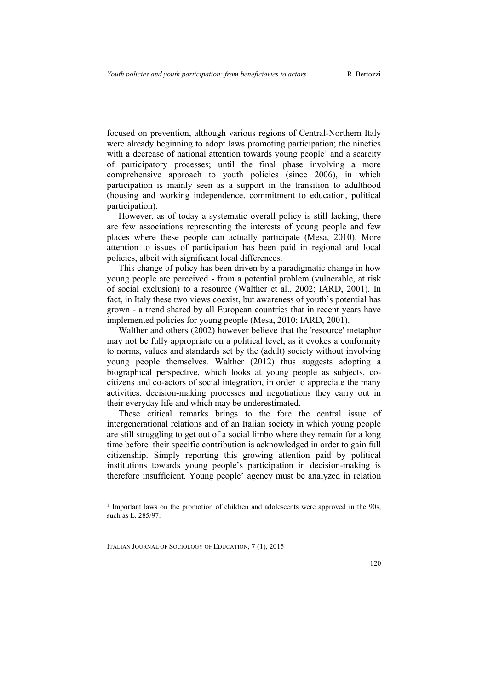focused on prevention, although various regions of Central-Northern Italy were already beginning to adopt laws promoting participation; the nineties with a decrease of national attention towards young people<sup>1</sup> and a scarcity of participatory processes; until the final phase involving a more comprehensive approach to youth policies (since 2006), in which participation is mainly seen as a support in the transition to adulthood (housing and working independence, commitment to education, political participation).

However, as of today a systematic overall policy is still lacking, there are few associations representing the interests of young people and few places where these people can actually participate (Mesa, 2010). More attention to issues of participation has been paid in regional and local policies, albeit with significant local differences.

This change of policy has been driven by a paradigmatic change in how young people are perceived - from a potential problem (vulnerable, at risk of social exclusion) to a resource (Walther et al., 2002; IARD, 2001). In fact, in Italy these two views coexist, but awareness of youth's potential has grown - a trend shared by all European countries that in recent years have implemented policies for young people (Mesa, 2010; IARD, 2001).

Walther and others (2002) however believe that the 'resource' metaphor may not be fully appropriate on a political level, as it evokes a conformity to norms, values and standards set by the (adult) society without involving young people themselves. Walther (2012) thus suggests adopting a biographical perspective, which looks at young people as subjects, cocitizens and co-actors of social integration, in order to appreciate the many activities, decision-making processes and negotiations they carry out in their everyday life and which may be underestimated.

These critical remarks brings to the fore the central issue of intergenerational relations and of an Italian society in which young people are still struggling to get out of a social limbo where they remain for a long time before their specific contribution is acknowledged in order to gain full citizenship. Simply reporting this growing attention paid by political institutions towards young people's participation in decision-making is therefore insufficient. Young people' agency must be analyzed in relation

ITALIAN JOURNAL OF SOCIOLOGY OF EDUCATION, 7 (1), 2015

<sup>&</sup>lt;sup>1</sup> Important laws on the promotion of children and adolescents were approved in the 90s, such as L. 285/97.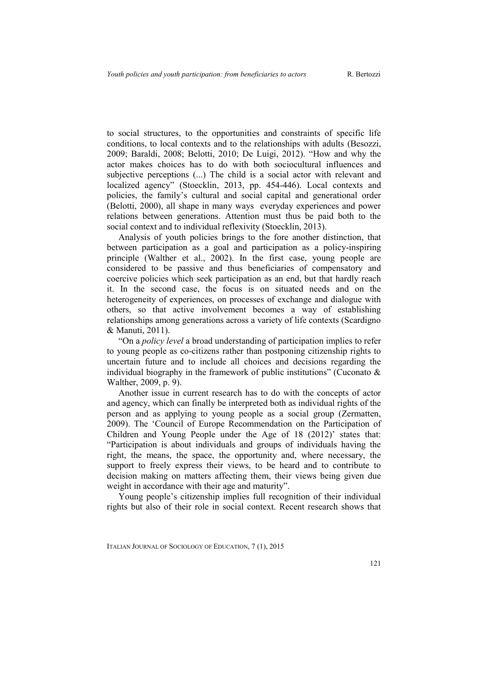to social structures, to the opportunities and constraints of specific life conditions, to local contexts and to the relationships with adults (Besozzi, 2009; Baraldi, 2008; Belotti, 2010; De Luigi, 2012). "How and why the actor makes choices has to do with both sociocultural influences and subjective perceptions (...) The child is a social actor with relevant and localized agency" (Stoecklin, 2013, pp. 454-446). Local contexts and policies, the family's cultural and social capital and generational order (Belotti, 2000), all shape in many ways everyday experiences and power relations between generations. Attention must thus be paid both to the social context and to individual reflexivity (Stoecklin, 2013).

Analysis of youth policies brings to the fore another distinction, that between participation as a goal and participation as a policy-inspiring principle (Walther et al., 2002). In the first case, young people are considered to be passive and thus beneficiaries of compensatory and coercive policies which seek participation as an end, but that hardly reach it. In the second case, the focus is on situated needs and on the heterogeneity of experiences, on processes of exchange and dialogue with others, so that active involvement becomes a way of establishing relationships among generations across a variety of life contexts (Scardigno & Manuti, 2011).

"On a *policy level* a broad understanding of participation implies to refer to young people as co-citizens rather than postponing citizenship rights to uncertain future and to include all choices and decisions regarding the individual biography in the framework of public institutions" (Cuconato  $\&$ Walther, 2009, p. 9).

Another issue in current research has to do with the concepts of actor and agency, which can finally be interpreted both as individual rights of the person and as applying to young people as a social group (Zermatten, 2009). The 'Council of Europe Recommendation on the Participation of Children and Young People under the Age of 18 (2012)' states that: "Participation is about individuals and groups of individuals having the right, the means, the space, the opportunity and, where necessary, the support to freely express their views, to be heard and to contribute to decision making on matters affecting them, their views being given due weight in accordance with their age and maturity".

Young people's citizenship implies full recognition of their individual rights but also of their role in social context. Recent research shows that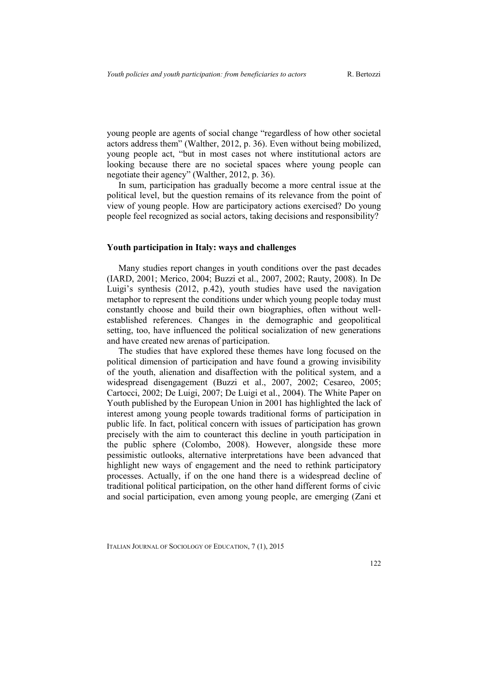young people are agents of social change "regardless of how other societal actors address them" (Walther, 2012, p. 36). Even without being mobilized, young people act, "but in most cases not where institutional actors are looking because there are no societal spaces where young people can negotiate their agency" (Walther, 2012, p. 36).

In sum, participation has gradually become a more central issue at the political level, but the question remains of its relevance from the point of view of young people. How are participatory actions exercised? Do young people feel recognized as social actors, taking decisions and responsibility?

### **Youth participation in Italy: ways and challenges**

Many studies report changes in youth conditions over the past decades (IARD, 2001; Merico, 2004; Buzzi et al., 2007, 2002; Rauty, 2008). In De Luigi's synthesis (2012, p.42), youth studies have used the navigation metaphor to represent the conditions under which young people today must constantly choose and build their own biographies, often without wellestablished references. Changes in the demographic and geopolitical setting, too, have influenced the political socialization of new generations and have created new arenas of participation.

The studies that have explored these themes have long focused on the political dimension of participation and have found a growing invisibility of the youth, alienation and disaffection with the political system, and a widespread disengagement (Buzzi et al., 2007, 2002; Cesareo, 2005; Cartocci, 2002; De Luigi, 2007; De Luigi et al., 2004). The White Paper on Youth published by the European Union in 2001 has highlighted the lack of interest among young people towards traditional forms of participation in public life. In fact, political concern with issues of participation has grown precisely with the aim to counteract this decline in youth participation in the public sphere (Colombo, 2008). However, alongside these more pessimistic outlooks, alternative interpretations have been advanced that highlight new ways of engagement and the need to rethink participatory processes. Actually, if on the one hand there is a widespread decline of traditional political participation, on the other hand different forms of civic and social participation, even among young people, are emerging (Zani et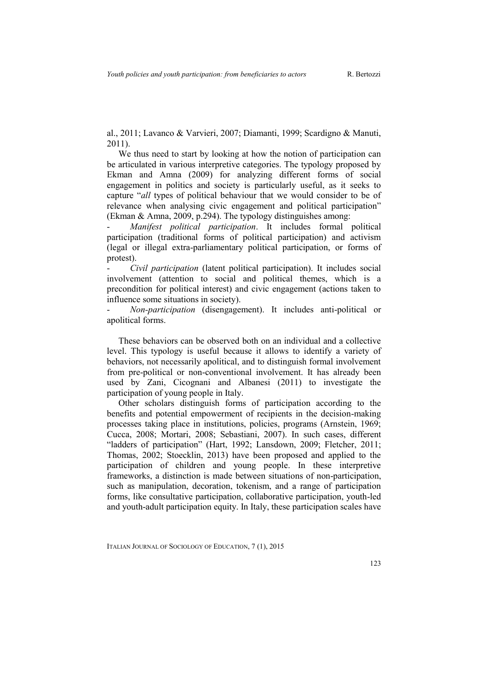al., 2011; Lavanco & Varvieri, 2007; Diamanti, 1999; Scardigno & Manuti, 2011).

We thus need to start by looking at how the notion of participation can be articulated in various interpretive categories. The typology proposed by Ekman and Amna (2009) for analyzing different forms of social engagement in politics and society is particularly useful, as it seeks to capture "*all* types of political behaviour that we would consider to be of relevance when analysing civic engagement and political participation" (Ekman & Amna, 2009, p.294). The typology distinguishes among:

- *Manifest political participation*. It includes formal political participation (traditional forms of political participation) and activism (legal or illegal extra-parliamentary political participation, or forms of protest).

- *Civil participation* (latent political participation). It includes social involvement (attention to social and political themes, which is a precondition for political interest) and civic engagement (actions taken to influence some situations in society).

- *Non-participation* (disengagement). It includes anti-political or apolitical forms.

These behaviors can be observed both on an individual and a collective level. This typology is useful because it allows to identify a variety of behaviors, not necessarily apolitical, and to distinguish formal involvement from pre-political or non-conventional involvement. It has already been used by Zani, Cicognani and Albanesi (2011) to investigate the participation of young people in Italy.

Other scholars distinguish forms of participation according to the benefits and potential empowerment of recipients in the decision-making processes taking place in institutions, policies, programs (Arnstein, 1969; Cucca, 2008; Mortari, 2008; Sebastiani, 2007). In such cases, different "ladders of participation" (Hart, 1992; Lansdown, 2009; Fletcher, 2011; Thomas, 2002; Stoecklin, 2013) have been proposed and applied to the participation of children and young people. In these interpretive frameworks, a distinction is made between situations of non-participation, such as manipulation, decoration, tokenism, and a range of participation forms, like consultative participation, collaborative participation, youth-led and youth-adult participation equity. In Italy, these participation scales have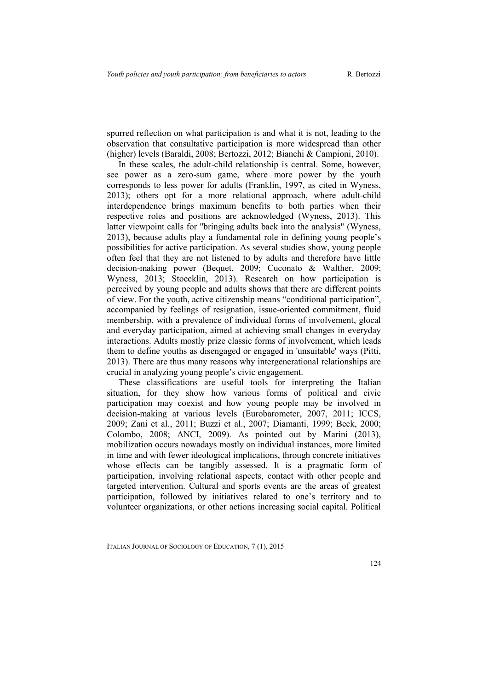spurred reflection on what participation is and what it is not, leading to the observation that consultative participation is more widespread than other (higher) levels (Baraldi, 2008; Bertozzi, 2012; Bianchi & Campioni, 2010).

In these scales, the adult-child relationship is central. Some, however, see power as a zero-sum game, where more power by the youth corresponds to less power for adults (Franklin, 1997, as cited in Wyness, 2013); others opt for a more relational approach, where adult-child interdependence brings maximum benefits to both parties when their respective roles and positions are acknowledged (Wyness, 2013). This latter viewpoint calls for "bringing adults back into the analysis" (Wyness, 2013), because adults play a fundamental role in defining young people's possibilities for active participation. As several studies show, young people often feel that they are not listened to by adults and therefore have little decision-making power (Bequet, 2009; Cuconato & Walther, 2009; Wyness, 2013; Stoecklin, 2013). Research on how participation is perceived by young people and adults shows that there are different points of view. For the youth, active citizenship means "conditional participation", accompanied by feelings of resignation, issue-oriented commitment, fluid membership, with a prevalence of individual forms of involvement, glocal and everyday participation, aimed at achieving small changes in everyday interactions. Adults mostly prize classic forms of involvement, which leads them to define youths as disengaged or engaged in 'unsuitable' ways (Pitti, 2013). There are thus many reasons why intergenerational relationships are crucial in analyzing young people's civic engagement.

These classifications are useful tools for interpreting the Italian situation, for they show how various forms of political and civic participation may coexist and how young people may be involved in decision-making at various levels (Eurobarometer, 2007, 2011; ICCS, 2009; Zani et al., 2011; Buzzi et al., 2007; Diamanti, 1999; Beck, 2000; Colombo, 2008; ANCI, 2009). As pointed out by Marini (2013), mobilization occurs nowadays mostly on individual instances, more limited in time and with fewer ideological implications, through concrete initiatives whose effects can be tangibly assessed. It is a pragmatic form of participation, involving relational aspects, contact with other people and targeted intervention. Cultural and sports events are the areas of greatest participation, followed by initiatives related to one's territory and to volunteer organizations, or other actions increasing social capital. Political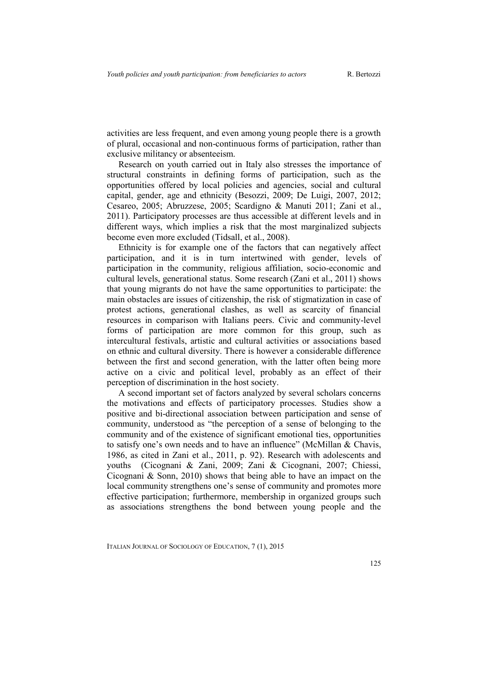activities are less frequent, and even among young people there is a growth of plural, occasional and non-continuous forms of participation, rather than exclusive militancy or absenteeism.

Research on youth carried out in Italy also stresses the importance of structural constraints in defining forms of participation, such as the opportunities offered by local policies and agencies, social and cultural capital, gender, age and ethnicity (Besozzi, 2009; De Luigi, 2007, 2012; Cesareo, 2005; Abruzzese, 2005; Scardigno & Manuti 2011; Zani et al., 2011). Participatory processes are thus accessible at different levels and in different ways, which implies a risk that the most marginalized subjects become even more excluded (Tidsall, et al., 2008).

Ethnicity is for example one of the factors that can negatively affect participation, and it is in turn intertwined with gender, levels of participation in the community, religious affiliation, socio-economic and cultural levels, generational status. Some research (Zani et al., 2011) shows that young migrants do not have the same opportunities to participate: the main obstacles are issues of citizenship, the risk of stigmatization in case of protest actions, generational clashes, as well as scarcity of financial resources in comparison with Italians peers. Civic and community-level forms of participation are more common for this group, such as intercultural festivals, artistic and cultural activities or associations based on ethnic and cultural diversity. There is however a considerable difference between the first and second generation, with the latter often being more active on a civic and political level, probably as an effect of their perception of discrimination in the host society.

A second important set of factors analyzed by several scholars concerns the motivations and effects of participatory processes. Studies show a positive and bi-directional association between participation and sense of community, understood as "the perception of a sense of belonging to the community and of the existence of significant emotional ties, opportunities to satisfy one's own needs and to have an influence" (McMillan & Chavis, 1986, as cited in Zani et al., 2011, p. 92). Research with adolescents and youths (Cicognani & Zani, 2009; Zani & Cicognani, 2007; Chiessi, Cicognani & Sonn, 2010) shows that being able to have an impact on the local community strengthens one's sense of community and promotes more effective participation; furthermore, membership in organized groups such as associations strengthens the bond between young people and the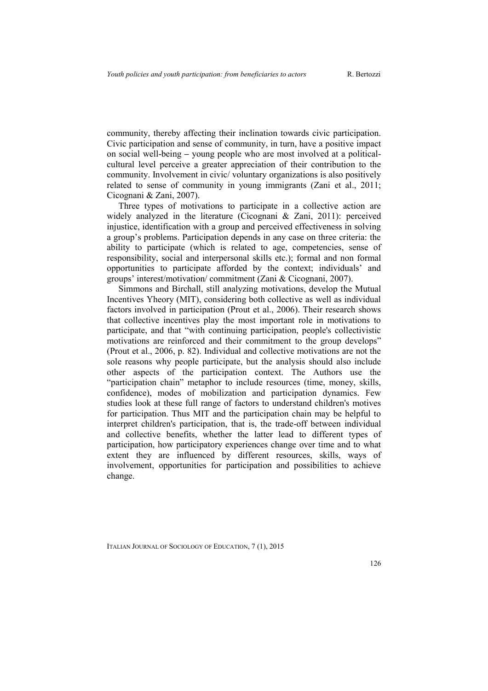community, thereby affecting their inclination towards civic participation. Civic participation and sense of community, in turn, have a positive impact on social well-being **–** young people who are most involved at a politicalcultural level perceive a greater appreciation of their contribution to the community. Involvement in civic/ voluntary organizations is also positively related to sense of community in young immigrants (Zani et al., 2011; Cicognani & Zani, 2007).

Three types of motivations to participate in a collective action are widely analyzed in the literature (Cicognani & Zani, 2011): perceived injustice, identification with a group and perceived effectiveness in solving a group's problems. Participation depends in any case on three criteria: the ability to participate (which is related to age, competencies, sense of responsibility, social and interpersonal skills etc.); formal and non formal opportunities to participate afforded by the context; individuals' and groups' interest/motivation/ commitment (Zani & Cicognani, 2007).

Simmons and Birchall, still analyzing motivations, develop the Mutual Incentives Yheory (MIT), considering both collective as well as individual factors involved in participation (Prout et al., 2006). Their research shows that collective incentives play the most important role in motivations to participate, and that "with continuing participation, people's collectivistic motivations are reinforced and their commitment to the group develops" (Prout et al., 2006, p. 82). Individual and collective motivations are not the sole reasons why people participate, but the analysis should also include other aspects of the participation context. The Authors use the "participation chain" metaphor to include resources (time, money, skills, confidence), modes of mobilization and participation dynamics. Few studies look at these full range of factors to understand children's motives for participation. Thus MIT and the participation chain may be helpful to interpret children's participation, that is, the trade-off between individual and collective benefits, whether the latter lead to different types of participation, how participatory experiences change over time and to what extent they are influenced by different resources, skills, ways of involvement, opportunities for participation and possibilities to achieve change.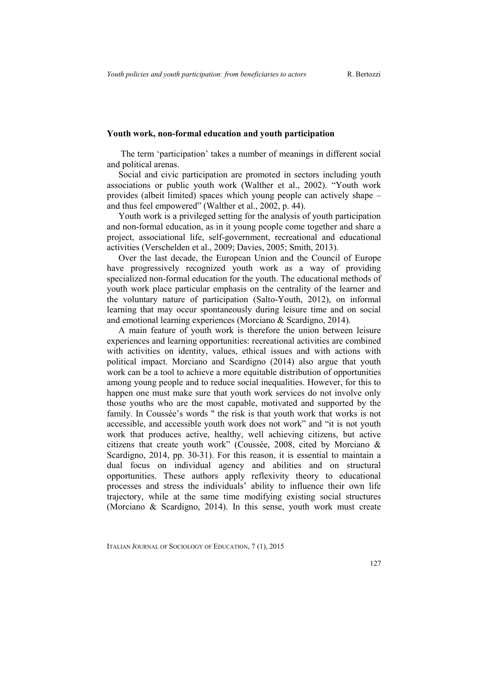#### **Youth work, non-formal education and youth participation**

The term 'participation' takes a number of meanings in different social and political arenas.

Social and civic participation are promoted in sectors including youth associations or public youth work (Walther et al., 2002). "Youth work provides (albeit limited) spaces which young people can actively shape – and thus feel empowered" (Walther et al., 2002, p. 44).

Youth work is a privileged setting for the analysis of youth participation and non-formal education, as in it young people come together and share a project, associational life, self-government, recreational and educational activities (Verschelden et al., 2009; Davies, 2005; Smith, 2013).

Over the last decade, the European Union and the Council of Europe have progressively recognized youth work as a way of providing specialized non-formal education for the youth. The educational methods of youth work place particular emphasis on the centrality of the learner and the voluntary nature of participation (Salto-Youth, 2012), on informal learning that may occur spontaneously during leisure time and on social and emotional learning experiences (Morciano & Scardigno, 2014).

A main feature of youth work is therefore the union between leisure experiences and learning opportunities: recreational activities are combined with activities on identity, values, ethical issues and with actions with political impact. Morciano and Scardigno (2014) also argue that youth work can be a tool to achieve a more equitable distribution of opportunities among young people and to reduce social inequalities. However, for this to happen one must make sure that youth work services do not involve only those youths who are the most capable, motivated and supported by the family. In Coussée's words " the risk is that youth work that works is not accessible, and accessible youth work does not work" and "it is not youth work that produces active, healthy, well achieving citizens, but active citizens that create youth work" (Coussée, 2008, cited by Morciano & Scardigno, 2014, pp. 30-31). For this reason, it is essential to maintain a dual focus on individual agency and abilities and on structural opportunities. These authors apply reflexivity theory to educational processes and stress the individuals' ability to influence their own life trajectory, while at the same time modifying existing social structures (Morciano & Scardigno, 2014). In this sense, youth work must create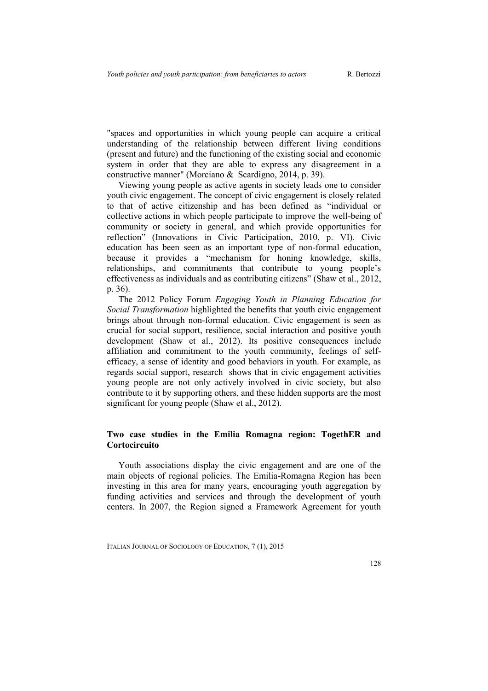"spaces and opportunities in which young people can acquire a critical understanding of the relationship between different living conditions (present and future) and the functioning of the existing social and economic system in order that they are able to express any disagreement in a constructive manner" (Morciano & Scardigno, 2014, p. 39).

Viewing young people as active agents in society leads one to consider youth civic engagement. The concept of civic engagement is closely related to that of active citizenship and has been defined as "individual or collective actions in which people participate to improve the well-being of community or society in general, and which provide opportunities for reflection" (Innovations in Civic Participation, 2010, p. VI). Civic education has been seen as an important type of non-formal education, because it provides a "mechanism for honing knowledge, skills, relationships, and commitments that contribute to young people's effectiveness as individuals and as contributing citizens" (Shaw et al., 2012, p. 36).

The 2012 Policy Forum *Engaging Youth in Planning Education for Social Transformation* highlighted the benefits that youth civic engagement brings about through non-formal education. Civic engagement is seen as crucial for social support, resilience, social interaction and positive youth development (Shaw et al., 2012). Its positive consequences include affiliation and commitment to the youth community, feelings of selfefficacy, a sense of identity and good behaviors in youth. For example, as regards social support, research shows that in civic engagement activities young people are not only actively involved in civic society, but also contribute to it by supporting others, and these hidden supports are the most significant for young people (Shaw et al., 2012).

### **Two case studies in the Emilia Romagna region: TogethER and Cortocircuito**

Youth associations display the civic engagement and are one of the main objects of regional policies. The Emilia-Romagna Region has been investing in this area for many years, encouraging youth aggregation by funding activities and services and through the development of youth centers. In 2007, the Region signed a Framework Agreement for youth

ITALIAN JOURNAL OF SOCIOLOGY OF EDUCATION, 7 (1), 2015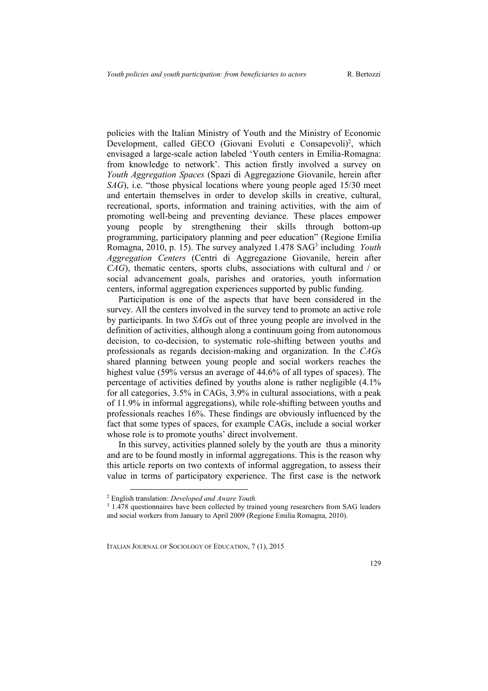policies with the Italian Ministry of Youth and the Ministry of Economic Development, called GECO (Giovani Evoluti e Consapevoli)<sup>2</sup>, which envisaged a large-scale action labeled 'Youth centers in Emilia-Romagna: from knowledge to network'. This action firstly involved a survey on *Youth Aggregation Spaces* (Spazi di Aggregazione Giovanile, herein after *SAG*), i.e. "those physical locations where young people aged 15/30 meet and entertain themselves in order to develop skills in creative, cultural, recreational, sports, information and training activities, with the aim of promoting well-being and preventing deviance. These places empower young people by strengthening their skills through bottom-up programming, participatory planning and peer education" (Regione Emilia Romagna, 2010, p. 15). The survey analyzed 1.478 SAG<sup>3</sup> including *Youth Aggregation Centers* (Centri di Aggregazione Giovanile, herein after *CAG*), thematic centers, sports clubs, associations with cultural and / or social advancement goals, parishes and oratories, youth information centers, informal aggregation experiences supported by public funding.

Participation is one of the aspects that have been considered in the survey. All the centers involved in the survey tend to promote an active role by participants. In two *SAG*s out of three young people are involved in the definition of activities, although along a continuum going from autonomous decision, to co-decision, to systematic role-shifting between youths and professionals as regards decision-making and organization. In the *CAG*s shared planning between young people and social workers reaches the highest value (59% versus an average of 44.6% of all types of spaces). The percentage of activities defined by youths alone is rather negligible (4.1% for all categories, 3.5% in CAGs, 3.9% in cultural associations, with a peak of 11.9% in informal aggregations), while role-shifting between youths and professionals reaches 16%. These findings are obviously influenced by the fact that some types of spaces, for example CAGs, include a social worker whose role is to promote youths' direct involvement.

In this survey, activities planned solely by the youth are thus a minority and are to be found mostly in informal aggregations. This is the reason why this article reports on two contexts of informal aggregation, to assess their value in terms of participatory experience. The first case is the network

 $\overline{a}$ 

<sup>2</sup> English translation: *Developed and Aware Youth.*

<sup>&</sup>lt;sup>3</sup> 1.478 questionnaires have been collected by trained young researchers from SAG leaders and social workers from January to April 2009 (Regione Emilia Romagna, 2010).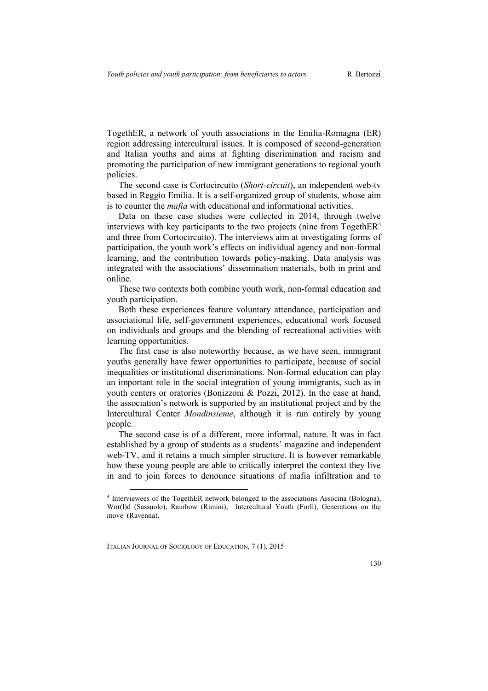TogethER, a network of youth associations in the Emilia-Romagna (ER) region addressing intercultural issues. It is composed of second-generation and Italian youths and aims at fighting discrimination and racism and promoting the participation of new immigrant generations to regional youth policies.

The second case is Cortocircuito (*Short-circuit*), an independent web-tv based in Reggio Emilia. It is a self-organized group of students, whose aim is to counter the *mafia* with educational and informational activities.

Data on these case studies were collected in 2014, through twelve interviews with key participants to the two projects (nine from TogethER<sup>4</sup>) and three from Cortocircuito). The interviews aim at investigating forms of participation, the youth work's effects on individual agency and non-formal learning, and the contribution towards policy-making. Data analysis was integrated with the associations' dissemination materials, both in print and online.

These two contexts both combine youth work, non-formal education and youth participation.

Both these experiences feature voluntary attendance, participation and associational life, self-government experiences, educational work focused on individuals and groups and the blending of recreational activities with learning opportunities.

The first case is also noteworthy because, as we have seen, immigrant youths generally have fewer opportunities to participate, because of social inequalities or institutional discriminations. Non-formal education can play an important role in the social integration of young immigrants, such as in youth centers or oratories (Bonizzoni & Pozzi, 2012). In the case at hand, the association's network is supported by an institutional project and by the Intercultural Center *Mondinsieme*, although it is run entirely by young people.

The second case is of a different, more informal, nature. It was in fact established by a group of students as a students' magazine and independent web-TV, and it retains a much simpler structure. It is however remarkable how these young people are able to critically interpret the context they live in and to join forces to denounce situations of mafia infiltration and to

ITALIAN JOURNAL OF SOCIOLOGY OF EDUCATION, 7 (1), 2015

<sup>4</sup> Interviewees of the TogethER network belonged to the associations Associna (Bologna), Wor(l)d (Sassuolo), Rainbow (Rimini), Intercultural Youth (Forlì), Generations on the move (Ravenna).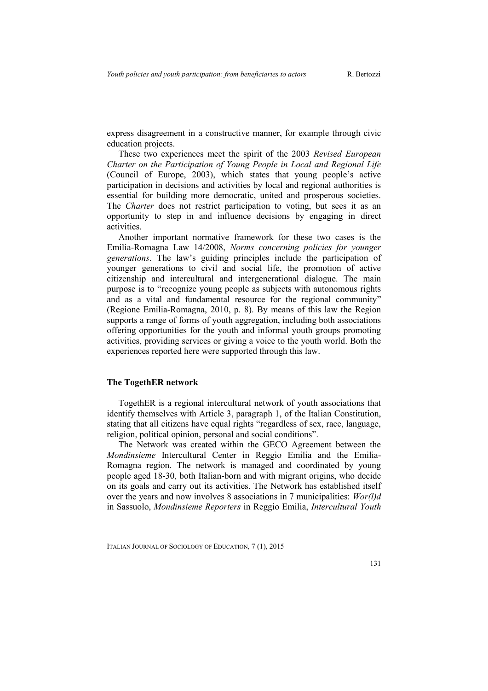express disagreement in a constructive manner, for example through civic education projects.

These two experiences meet the spirit of the 2003 *Revised European Charter on the Participation of Young People in Local and Regional Life* (Council of Europe, 2003), which states that young people's active participation in decisions and activities by local and regional authorities is essential for building more democratic, united and prosperous societies. The *Charter* does not restrict participation to voting, but sees it as an opportunity to step in and influence decisions by engaging in direct activities.

Another important normative framework for these two cases is the Emilia-Romagna Law 14/2008, *Norms concerning policies for younger generations*. The law's guiding principles include the participation of younger generations to civil and social life, the promotion of active citizenship and intercultural and intergenerational dialogue. The main purpose is to "recognize young people as subjects with autonomous rights and as a vital and fundamental resource for the regional community" (Regione Emilia-Romagna, 2010, p. 8). By means of this law the Region supports a range of forms of youth aggregation, including both associations offering opportunities for the youth and informal youth groups promoting activities, providing services or giving a voice to the youth world. Both the experiences reported here were supported through this law.

#### **The TogethER network**

TogethER is a regional intercultural network of youth associations that identify themselves with Article 3, paragraph 1, of the Italian Constitution, stating that all citizens have equal rights "regardless of sex, race, language, religion, political opinion, personal and social conditions".

The Network was created within the GECO Agreement between the *Mondinsieme* Intercultural Center in Reggio Emilia and the Emilia-Romagna region. The network is managed and coordinated by young people aged 18-30, both Italian-born and with migrant origins, who decide on its goals and carry out its activities. The Network has established itself over the years and now involves 8 associations in 7 municipalities: *Wor(l)d* in Sassuolo, *Mondinsieme Reporters* in Reggio Emilia, *Intercultural Youth*

ITALIAN JOURNAL OF SOCIOLOGY OF EDUCATION, 7 (1), 2015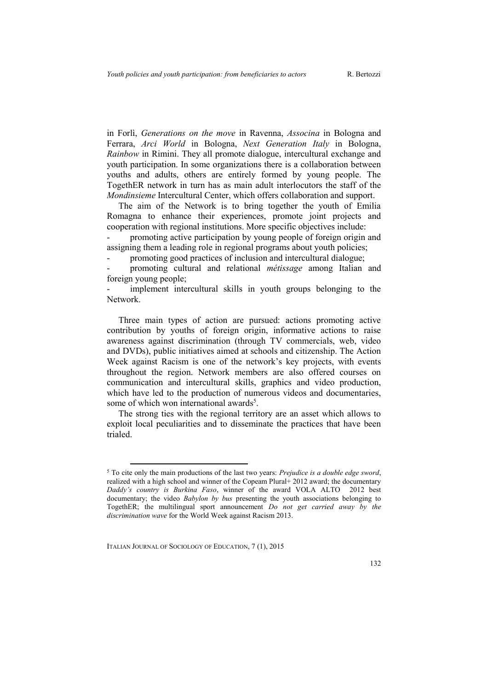in Forlì, *Generations on the move* in Ravenna, *Associna* in Bologna and Ferrara, *Arci World* in Bologna, *Next Generation Italy* in Bologna, *Rainbow* in Rimini. They all promote dialogue, intercultural exchange and youth participation. In some organizations there is a collaboration between youths and adults, others are entirely formed by young people. The TogethER network in turn has as main adult interlocutors the staff of the *Mondinsieme* Intercultural Center, which offers collaboration and support.

The aim of the Network is to bring together the youth of Emilia Romagna to enhance their experiences, promote joint projects and cooperation with regional institutions. More specific objectives include:

promoting active participation by young people of foreign origin and assigning them a leading role in regional programs about youth policies;

- promoting good practices of inclusion and intercultural dialogue;

- promoting cultural and relational *métissage* among Italian and foreign young people;

implement intercultural skills in youth groups belonging to the Network.

Three main types of action are pursued: actions promoting active contribution by youths of foreign origin, informative actions to raise awareness against discrimination (through TV commercials, web, video and DVDs), public initiatives aimed at schools and citizenship. The Action Week against Racism is one of the network's key projects, with events throughout the region. Network members are also offered courses on communication and intercultural skills, graphics and video production, which have led to the production of numerous videos and documentaries, some of which won international awards<sup>5</sup>.

The strong ties with the regional territory are an asset which allows to exploit local peculiarities and to disseminate the practices that have been trialed.

ITALIAN JOURNAL OF SOCIOLOGY OF EDUCATION, 7 (1), 2015

<sup>5</sup> To cite only the main productions of the last two years: *Prejudice is a double edge sword*, realized with a high school and winner of the Copeam Plural+ 2012 award; the documentary *Daddy's country is Burkina Faso*, winner of the award VOLA ALTO 2012 best documentary; the video *Babylon by bus* presenting the youth associations belonging to TogethER; the multilingual sport announcement *Do not get carried away by the discrimination wave* for the World Week against Racism 2013.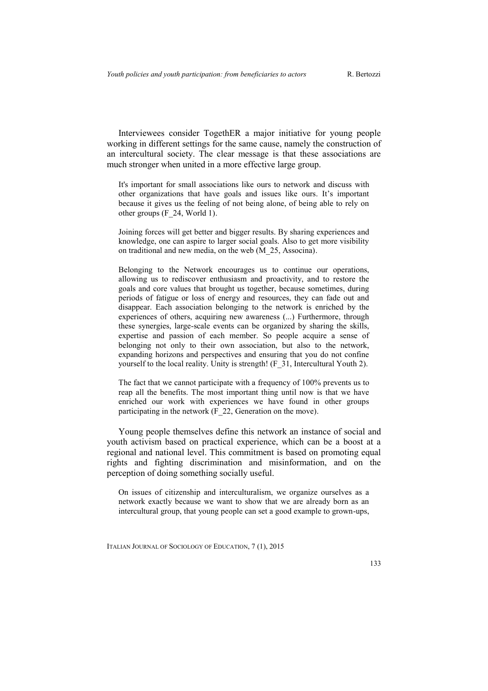Interviewees consider TogethER a major initiative for young people working in different settings for the same cause, namely the construction of an intercultural society. The clear message is that these associations are much stronger when united in a more effective large group.

It's important for small associations like ours to network and discuss with other organizations that have goals and issues like ours. It's important because it gives us the feeling of not being alone, of being able to rely on other groups (F\_24, World 1).

Joining forces will get better and bigger results. By sharing experiences and knowledge, one can aspire to larger social goals. Also to get more visibility on traditional and new media, on the web (M\_25, Associna).

Belonging to the Network encourages us to continue our operations, allowing us to rediscover enthusiasm and proactivity, and to restore the goals and core values that brought us together, because sometimes, during periods of fatigue or loss of energy and resources, they can fade out and disappear. Each association belonging to the network is enriched by the experiences of others, acquiring new awareness (...) Furthermore, through these synergies, large-scale events can be organized by sharing the skills, expertise and passion of each member. So people acquire a sense of belonging not only to their own association, but also to the network, expanding horizons and perspectives and ensuring that you do not confine yourself to the local reality. Unity is strength! (F\_31, Intercultural Youth 2).

The fact that we cannot participate with a frequency of 100% prevents us to reap all the benefits. The most important thing until now is that we have enriched our work with experiences we have found in other groups participating in the network (F 22, Generation on the move).

Young people themselves define this network an instance of social and youth activism based on practical experience, which can be a boost at a regional and national level. This commitment is based on promoting equal rights and fighting discrimination and misinformation, and on the perception of doing something socially useful.

On issues of citizenship and interculturalism, we organize ourselves as a network exactly because we want to show that we are already born as an intercultural group, that young people can set a good example to grown-ups,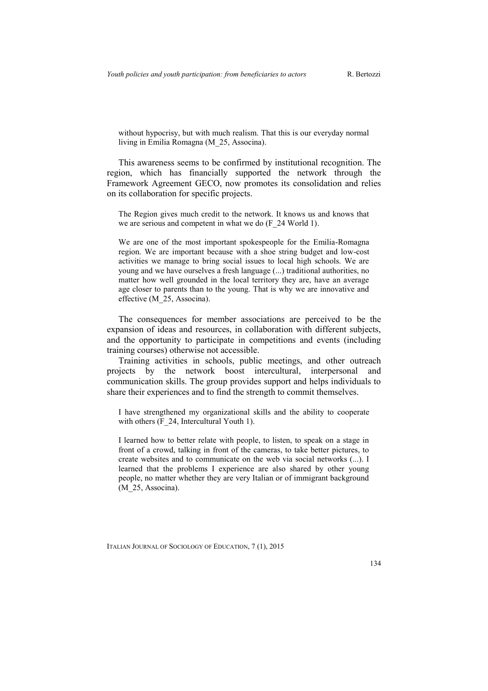without hypocrisy, but with much realism. That this is our everyday normal living in Emilia Romagna (M\_25, Associna).

This awareness seems to be confirmed by institutional recognition. The region, which has financially supported the network through the Framework Agreement GECO, now promotes its consolidation and relies on its collaboration for specific projects.

The Region gives much credit to the network. It knows us and knows that we are serious and competent in what we do (F\_24 World 1).

We are one of the most important spokespeople for the Emilia-Romagna region. We are important because with a shoe string budget and low-cost activities we manage to bring social issues to local high schools. We are young and we have ourselves a fresh language (...) traditional authorities, no matter how well grounded in the local territory they are, have an average age closer to parents than to the young. That is why we are innovative and effective (M\_25, Associna).

The consequences for member associations are perceived to be the expansion of ideas and resources, in collaboration with different subjects, and the opportunity to participate in competitions and events (including training courses) otherwise not accessible.

Training activities in schools, public meetings, and other outreach projects by the network boost intercultural, interpersonal and communication skills. The group provides support and helps individuals to share their experiences and to find the strength to commit themselves.

I have strengthened my organizational skills and the ability to cooperate with others (F\_24, Intercultural Youth 1).

I learned how to better relate with people, to listen, to speak on a stage in front of a crowd, talking in front of the cameras, to take better pictures, to create websites and to communicate on the web via social networks (...). I learned that the problems I experience are also shared by other young people, no matter whether they are very Italian or of immigrant background (M 25, Associna).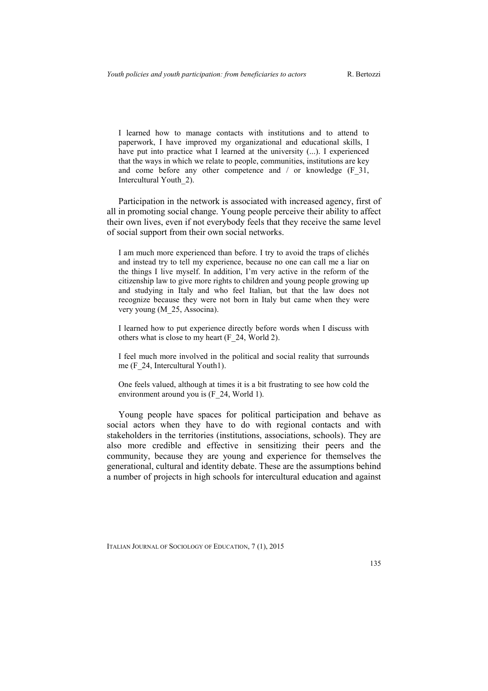I learned how to manage contacts with institutions and to attend to paperwork, I have improved my organizational and educational skills, I have put into practice what I learned at the university (...). I experienced that the ways in which we relate to people, communities, institutions are key and come before any other competence and / or knowledge (F 31, Intercultural Youth\_2).

Participation in the network is associated with increased agency, first of all in promoting social change. Young people perceive their ability to affect their own lives, even if not everybody feels that they receive the same level of social support from their own social networks.

I am much more experienced than before. I try to avoid the traps of clichés and instead try to tell my experience, because no one can call me a liar on the things I live myself. In addition, I'm very active in the reform of the citizenship law to give more rights to children and young people growing up and studying in Italy and who feel Italian, but that the law does not recognize because they were not born in Italy but came when they were very young (M\_25, Associna).

I learned how to put experience directly before words when I discuss with others what is close to my heart (F\_24, World 2).

I feel much more involved in the political and social reality that surrounds me (F\_24, Intercultural Youth1).

One feels valued, although at times it is a bit frustrating to see how cold the environment around you is (F\_24, World 1).

Young people have spaces for political participation and behave as social actors when they have to do with regional contacts and with stakeholders in the territories (institutions, associations, schools). They are also more credible and effective in sensitizing their peers and the community, because they are young and experience for themselves the generational, cultural and identity debate. These are the assumptions behind a number of projects in high schools for intercultural education and against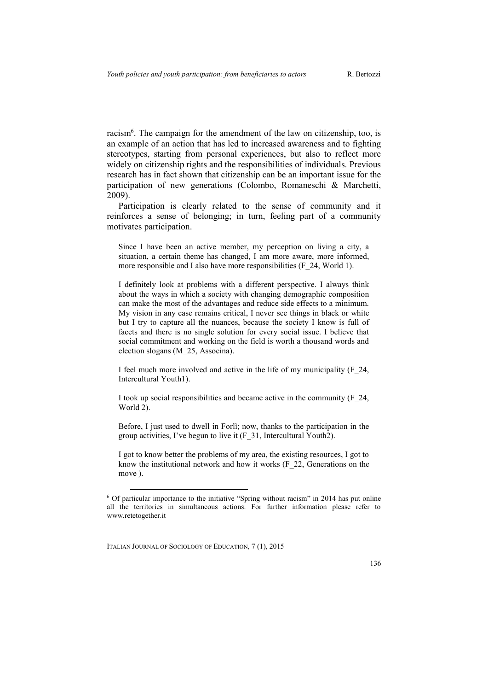racism<sup>6</sup>. The campaign for the amendment of the law on citizenship, too, is an example of an action that has led to increased awareness and to fighting stereotypes, starting from personal experiences, but also to reflect more widely on citizenship rights and the responsibilities of individuals. Previous research has in fact shown that citizenship can be an important issue for the participation of new generations (Colombo, Romaneschi & Marchetti, 2009).

Participation is clearly related to the sense of community and it reinforces a sense of belonging; in turn, feeling part of a community motivates participation.

Since I have been an active member, my perception on living a city, a situation, a certain theme has changed, I am more aware, more informed, more responsible and I also have more responsibilities (F 24, World 1).

I definitely look at problems with a different perspective. I always think about the ways in which a society with changing demographic composition can make the most of the advantages and reduce side effects to a minimum. My vision in any case remains critical, I never see things in black or white but I try to capture all the nuances, because the society I know is full of facets and there is no single solution for every social issue. I believe that social commitment and working on the field is worth a thousand words and election slogans (M\_25, Associna).

I feel much more involved and active in the life of my municipality (F\_24, Intercultural Youth1).

I took up social responsibilities and became active in the community (F\_24, World 2).

Before, I just used to dwell in Forlì; now, thanks to the participation in the group activities, I've begun to live it (F\_31, Intercultural Youth2).

I got to know better the problems of my area, the existing resources, I got to know the institutional network and how it works (F\_22, Generations on the move ).

ITALIAN JOURNAL OF SOCIOLOGY OF EDUCATION, 7 (1), 2015

<sup>6</sup> Of particular importance to the initiative "Spring without racism" in 2014 has put online all the territories in simultaneous actions. For further information please refer to www.retetogether.it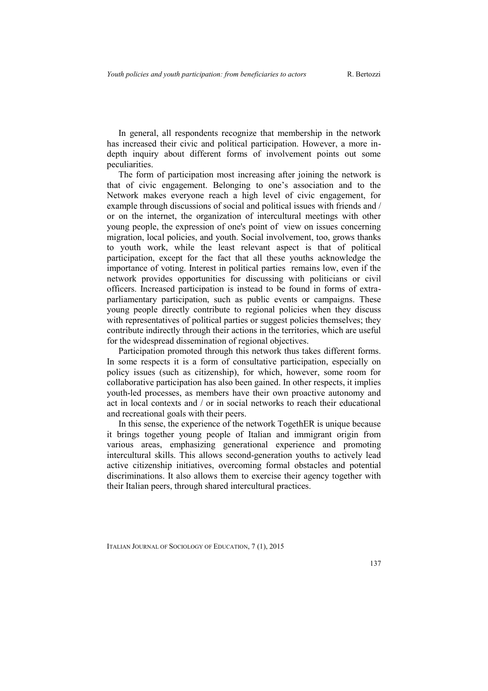In general, all respondents recognize that membership in the network has increased their civic and political participation. However, a more indepth inquiry about different forms of involvement points out some peculiarities.

The form of participation most increasing after joining the network is that of civic engagement. Belonging to one's association and to the Network makes everyone reach a high level of civic engagement, for example through discussions of social and political issues with friends and / or on the internet, the organization of intercultural meetings with other young people, the expression of one's point of view on issues concerning migration, local policies, and youth. Social involvement, too, grows thanks to youth work, while the least relevant aspect is that of political participation, except for the fact that all these youths acknowledge the importance of voting. Interest in political parties remains low, even if the network provides opportunities for discussing with politicians or civil officers. Increased participation is instead to be found in forms of extraparliamentary participation, such as public events or campaigns. These young people directly contribute to regional policies when they discuss with representatives of political parties or suggest policies themselves; they contribute indirectly through their actions in the territories, which are useful for the widespread dissemination of regional objectives.

Participation promoted through this network thus takes different forms. In some respects it is a form of consultative participation, especially on policy issues (such as citizenship), for which, however, some room for collaborative participation has also been gained. In other respects, it implies youth-led processes, as members have their own proactive autonomy and act in local contexts and / or in social networks to reach their educational and recreational goals with their peers.

In this sense, the experience of the network TogethER is unique because it brings together young people of Italian and immigrant origin from various areas, emphasizing generational experience and promoting intercultural skills. This allows second-generation youths to actively lead active citizenship initiatives, overcoming formal obstacles and potential discriminations. It also allows them to exercise their agency together with their Italian peers, through shared intercultural practices.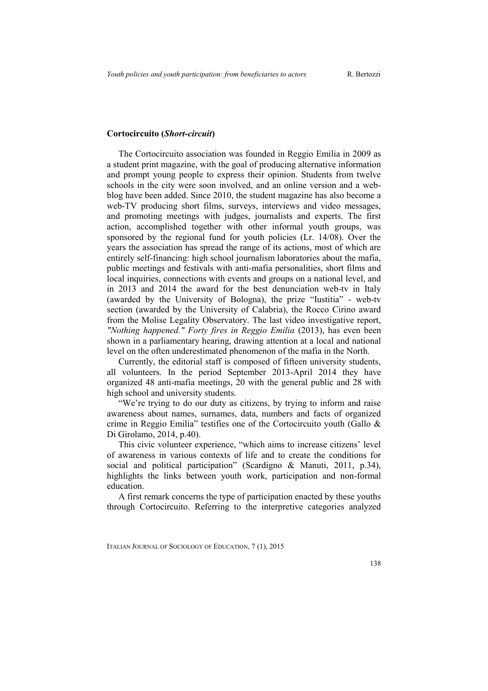### **Cortocircuito (***Short-circuit***)**

The Cortocircuito association was founded in Reggio Emilia in 2009 as a student print magazine, with the goal of producing alternative information and prompt young people to express their opinion. Students from twelve schools in the city were soon involved, and an online version and a webblog have been added. Since 2010, the student magazine has also become a web-TV producing short films, surveys, interviews and video messages, and promoting meetings with judges, journalists and experts. The first action, accomplished together with other informal youth groups, was sponsored by the regional fund for youth policies (Lr. 14/08). Over the years the association has spread the range of its actions, most of which are entirely self-financing: high school journalism laboratories about the mafia, public meetings and festivals with anti-mafia personalities, short films and local inquiries, connections with events and groups on a national level, and in 2013 and 2014 the award for the best denunciation web-tv in Italy (awarded by the University of Bologna), the prize "Iustitia" - web-tv section (awarded by the University of Calabria), the Rocco Cirino award from the Molise Legality Observatory. The last video investigative report, *"Nothing happened." Forty fires in Reggio Emilia* (2013), has even been shown in a parliamentary hearing, drawing attention at a local and national level on the often underestimated phenomenon of the mafia in the North.

Currently, the editorial staff is composed of fifteen university students, all volunteers. In the period September 2013-April 2014 they have organized 48 anti-mafia meetings, 20 with the general public and 28 with high school and university students.

"We're trying to do our duty as citizens, by trying to inform and raise awareness about names, surnames, data, numbers and facts of organized crime in Reggio Emilia" testifies one of the Cortocircuito youth (Gallo & Di Girolamo, 2014, p.40).

This civic volunteer experience, "which aims to increase citizens' level of awareness in various contexts of life and to create the conditions for social and political participation" (Scardigno & Manuti, 2011, p.34), highlights the links between youth work, participation and non-formal education.

A first remark concerns the type of participation enacted by these youths through Cortocircuito. Referring to the interpretive categories analyzed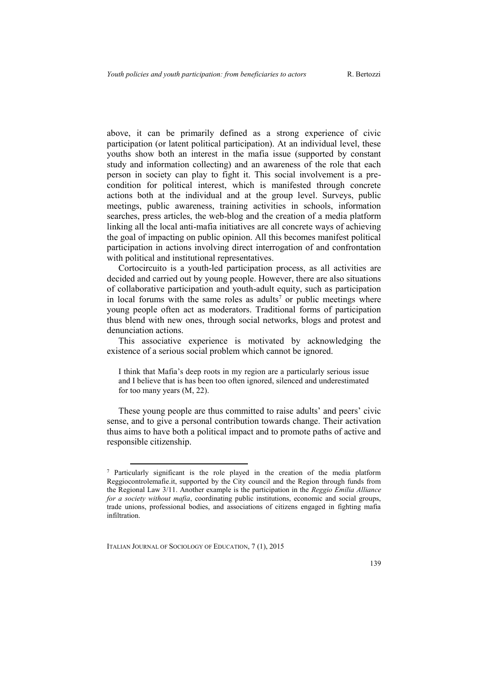above, it can be primarily defined as a strong experience of civic participation (or latent political participation). At an individual level, these youths show both an interest in the mafia issue (supported by constant study and information collecting) and an awareness of the role that each person in society can play to fight it. This social involvement is a precondition for political interest, which is manifested through concrete actions both at the individual and at the group level. Surveys, public meetings, public awareness, training activities in schools, information searches, press articles, the web-blog and the creation of a media platform linking all the local anti-mafia initiatives are all concrete ways of achieving the goal of impacting on public opinion. All this becomes manifest political participation in actions involving direct interrogation of and confrontation with political and institutional representatives.

Cortocircuito is a youth-led participation process, as all activities are decided and carried out by young people. However, there are also situations of collaborative participation and youth-adult equity, such as participation in local forums with the same roles as adults<sup>7</sup> or public meetings where young people often act as moderators. Traditional forms of participation thus blend with new ones, through social networks, blogs and protest and denunciation actions.

This associative experience is motivated by acknowledging the existence of a serious social problem which cannot be ignored.

I think that Mafia's deep roots in my region are a particularly serious issue and I believe that is has been too often ignored, silenced and underestimated for too many years (M, 22).

These young people are thus committed to raise adults' and peers' civic sense, and to give a personal contribution towards change. Their activation thus aims to have both a political impact and to promote paths of active and responsible citizenship.

ITALIAN JOURNAL OF SOCIOLOGY OF EDUCATION, 7 (1), 2015

<sup>7</sup> Particularly significant is the role played in the creation of the media platform Reggiocontrolemafie.it, supported by the City council and the Region through funds from the Regional Law 3/11. Another example is the participation in the *Reggio Emilia Alliance for a society without mafia*, coordinating public institutions, economic and social groups, trade unions, professional bodies, and associations of citizens engaged in fighting mafia infiltration.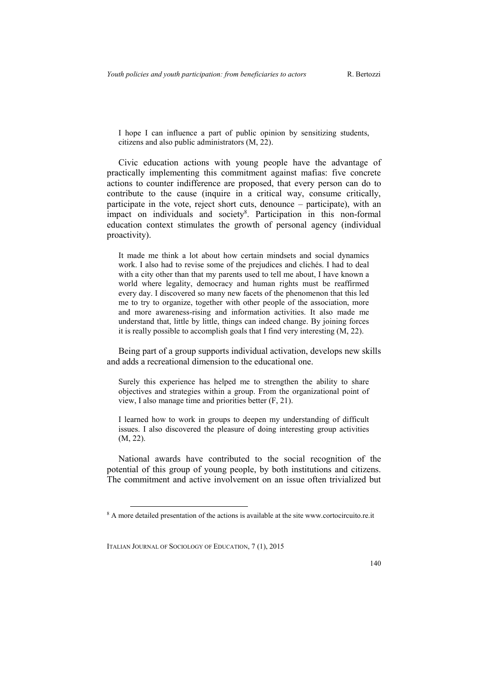I hope I can influence a part of public opinion by sensitizing students, citizens and also public administrators (M, 22).

Civic education actions with young people have the advantage of practically implementing this commitment against mafias: five concrete actions to counter indifference are proposed, that every person can do to contribute to the cause (inquire in a critical way, consume critically, participate in the vote, reject short cuts, denounce – participate), with an impact on individuals and society<sup>8</sup>. Participation in this non-formal education context stimulates the growth of personal agency (individual proactivity).

It made me think a lot about how certain mindsets and social dynamics work. I also had to revise some of the prejudices and clichés. I had to deal with a city other than that my parents used to tell me about. I have known a world where legality, democracy and human rights must be reaffirmed every day. I discovered so many new facets of the phenomenon that this led me to try to organize, together with other people of the association, more and more awareness-rising and information activities. It also made me understand that, little by little, things can indeed change. By joining forces it is really possible to accomplish goals that I find very interesting (M, 22).

Being part of a group supports individual activation, develops new skills and adds a recreational dimension to the educational one.

Surely this experience has helped me to strengthen the ability to share objectives and strategies within a group. From the organizational point of view, I also manage time and priorities better (F, 21).

I learned how to work in groups to deepen my understanding of difficult issues. I also discovered the pleasure of doing interesting group activities (M, 22).

National awards have contributed to the social recognition of the potential of this group of young people, by both institutions and citizens. The commitment and active involvement on an issue often trivialized but

<sup>&</sup>lt;sup>8</sup> A more detailed presentation of the actions is available at the site www.cortocircuito.re.it

ITALIAN JOURNAL OF SOCIOLOGY OF EDUCATION, 7 (1), 2015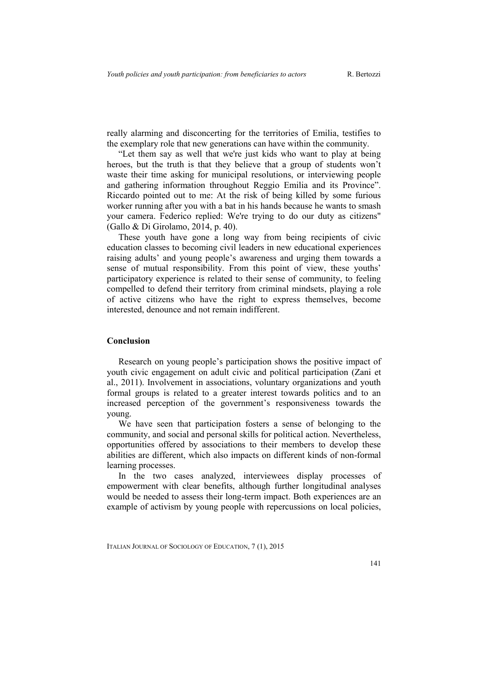really alarming and disconcerting for the territories of Emilia, testifies to the exemplary role that new generations can have within the community.

"Let them say as well that we're just kids who want to play at being heroes, but the truth is that they believe that a group of students won't waste their time asking for municipal resolutions, or interviewing people and gathering information throughout Reggio Emilia and its Province". Riccardo pointed out to me: At the risk of being killed by some furious worker running after you with a bat in his hands because he wants to smash your camera. Federico replied: We're trying to do our duty as citizens" (Gallo & Di Girolamo, 2014, p. 40).

These youth have gone a long way from being recipients of civic education classes to becoming civil leaders in new educational experiences raising adults' and young people's awareness and urging them towards a sense of mutual responsibility. From this point of view, these youths' participatory experience is related to their sense of community, to feeling compelled to defend their territory from criminal mindsets, playing a role of active citizens who have the right to express themselves, become interested, denounce and not remain indifferent.

#### **Conclusion**

Research on young people's participation shows the positive impact of youth civic engagement on adult civic and political participation (Zani et al., 2011). Involvement in associations, voluntary organizations and youth formal groups is related to a greater interest towards politics and to an increased perception of the government's responsiveness towards the young.

We have seen that participation fosters a sense of belonging to the community, and social and personal skills for political action. Nevertheless, opportunities offered by associations to their members to develop these abilities are different, which also impacts on different kinds of non-formal learning processes.

In the two cases analyzed, interviewees display processes of empowerment with clear benefits, although further longitudinal analyses would be needed to assess their long-term impact. Both experiences are an example of activism by young people with repercussions on local policies,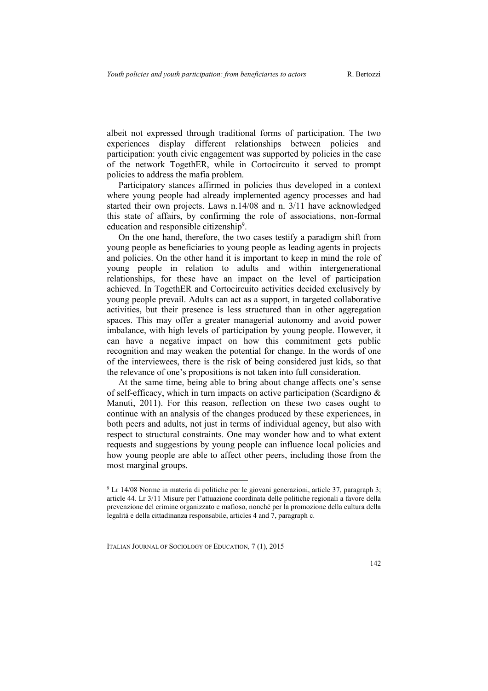albeit not expressed through traditional forms of participation. The two experiences display different relationships between policies and participation: youth civic engagement was supported by policies in the case of the network TogethER, while in Cortocircuito it served to prompt policies to address the mafia problem.

Participatory stances affirmed in policies thus developed in a context where young people had already implemented agency processes and had started their own projects. Laws n.14/08 and n. 3/11 have acknowledged this state of affairs, by confirming the role of associations, non-formal education and responsible citizenship<sup>9</sup>.

On the one hand, therefore, the two cases testify a paradigm shift from young people as beneficiaries to young people as leading agents in projects and policies. On the other hand it is important to keep in mind the role of young people in relation to adults and within intergenerational relationships, for these have an impact on the level of participation achieved. In TogethER and Cortocircuito activities decided exclusively by young people prevail. Adults can act as a support, in targeted collaborative activities, but their presence is less structured than in other aggregation spaces. This may offer a greater managerial autonomy and avoid power imbalance, with high levels of participation by young people. However, it can have a negative impact on how this commitment gets public recognition and may weaken the potential for change. In the words of one of the interviewees, there is the risk of being considered just kids, so that the relevance of one's propositions is not taken into full consideration.

At the same time, being able to bring about change affects one's sense of self-efficacy, which in turn impacts on active participation (Scardigno & Manuti, 2011). For this reason, reflection on these two cases ought to continue with an analysis of the changes produced by these experiences, in both peers and adults, not just in terms of individual agency, but also with respect to structural constraints. One may wonder how and to what extent requests and suggestions by young people can influence local policies and how young people are able to affect other peers, including those from the most marginal groups.

ITALIAN JOURNAL OF SOCIOLOGY OF EDUCATION, 7 (1), 2015

<sup>9</sup> Lr 14/08 Norme in materia di politiche per le giovani generazioni, article 37, paragraph 3; article 44. Lr 3/11 Misure per l'attuazione coordinata delle politiche regionali a favore della prevenzione del crimine organizzato e mafioso, nonché per la promozione della cultura della legalità e della cittadinanza responsabile, articles 4 and 7, paragraph c.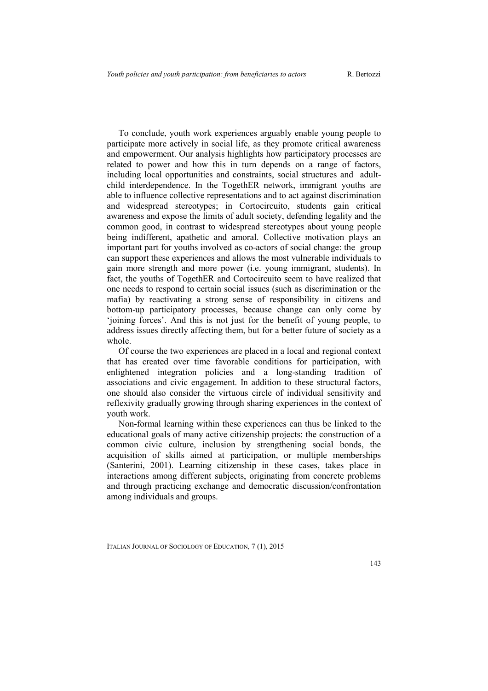To conclude, youth work experiences arguably enable young people to participate more actively in social life, as they promote critical awareness and empowerment. Our analysis highlights how participatory processes are related to power and how this in turn depends on a range of factors, including local opportunities and constraints, social structures and adultchild interdependence. In the TogethER network, immigrant youths are able to influence collective representations and to act against discrimination and widespread stereotypes; in Cortocircuito, students gain critical awareness and expose the limits of adult society, defending legality and the common good, in contrast to widespread stereotypes about young people being indifferent, apathetic and amoral. Collective motivation plays an important part for youths involved as co-actors of social change: the group can support these experiences and allows the most vulnerable individuals to gain more strength and more power (i.e. young immigrant, students). In fact, the youths of TogethER and Cortocircuito seem to have realized that one needs to respond to certain social issues (such as discrimination or the mafia) by reactivating a strong sense of responsibility in citizens and bottom-up participatory processes, because change can only come by 'joining forces'. And this is not just for the benefit of young people, to address issues directly affecting them, but for a better future of society as a whole.

Of course the two experiences are placed in a local and regional context that has created over time favorable conditions for participation, with enlightened integration policies and a long-standing tradition of associations and civic engagement. In addition to these structural factors, one should also consider the virtuous circle of individual sensitivity and reflexivity gradually growing through sharing experiences in the context of youth work.

Non-formal learning within these experiences can thus be linked to the educational goals of many active citizenship projects: the construction of a common civic culture, inclusion by strengthening social bonds, the acquisition of skills aimed at participation, or multiple memberships (Santerini, 2001). Learning citizenship in these cases, takes place in interactions among different subjects, originating from concrete problems and through practicing exchange and democratic discussion/confrontation among individuals and groups.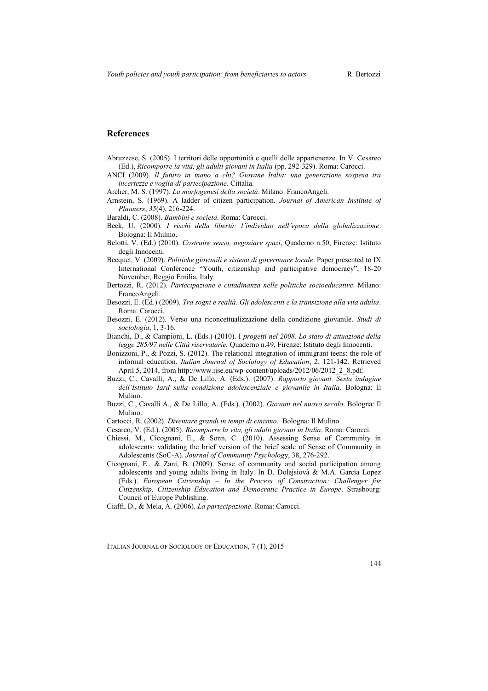#### **References**

- Abruzzese, S. (2005). I territori delle opportunità e quelli delle appartenenze. In V. Cesareo (Ed.), *Ricomporre la vita, gli adulti giovani in Italia* (pp. 292-329). Roma: Carocci.
- ANCI (2009). *Il futuro in mano a chi? Giovane Italia: una generazione sospesa tra incertezze e voglia di partecipazione*. Cittalia.
- Archer, M. S. (1997). *La morfogenesi della società*. Milano: FrancoAngeli.
- Arnstein, S. (1969). A ladder of citizen participation. *Journal of American Institute of Planners*, *35*(4), 216-224.
- Baraldi, C. (2008). *Bambini e società*. Roma: Carocci.
- Beck, U. (2000). *I rischi della libertà: l'individuo nell'epoca della globalizzazione*. Bologna: Il Mulino.
- Belotti, V. (Ed.) (2010). *Costruire senso, negoziare spazi*, Quaderno n.50, Firenze: Istituto degli Innocenti.
- Becquet, V. (2009). *Politiche giovanili e sistemi di governance locale*. Paper presented to IX International Conference "Youth, citizenship and participative democracy", 18-20 November, Reggio Emilia, Italy.
- Bertozzi, R. (2012). *Partecipazione e cittadinanza nelle politiche socioeducative*. Milano: FrancoAngeli.
- Besozzi, E. (Ed.) (2009). *Tra sogni e realtà. Gli adolescenti e la transizione alla vita adulta*. Roma: Carocci.
- Besozzi, E. (2012). Verso una riconcettualizzazione della condizione giovanile. *Studi di sociologia*, 1, 3-16.
- Bianchi, D., & Campioni, L. (Eds.) (2010). I *progetti nel 2008. Lo stato di attuazione della legge 285/97 nelle Città riservatarie.* Quaderno n.49, Firenze: Istituto degli Innocenti.
- Bonizzoni, P., & Pozzi, S. (2012). The relational integration of immigrant teens: the role of informal education. *Italian Journal of Sociology of Education*, 2, 121-142. Retrieved April 5, 2014, from http://www.ijse.eu/wp-content/uploads/2012/06/2012\_2\_8.pdf.
- Buzzi, C., Cavalli, A., & De Lillo, A. (Eds.). (2007). *Rapporto giovani. Sesta indagine dell'Istituto Iard sulla condizione adolescenziale e giovanile in Italia*. Bologna: Il Mulino.
- Buzzi, C., Cavalli A., & De Lillo, A. (Eds.). (2002). *Giovani nel nuovo secolo*. Bologna: Il Mulino.
- Cartocci, R. (2002). *Diventare grandi in tempi di cinismo*. Bologna: Il Mulino.
- Cesareo, V. (Ed.). (2005). *Ricomporre la vita, gli adulti giovani in Italia*. Roma: Carocci.
- Chiessi, M., Cicognani, E., & Sonn, C. (2010). Assessing Sense of Community in adolescents: validating the brief version of the brief scale of Sense of Community in Adolescents (SoC-A). *Journal of Community Psycholog*y, 38, 276-292.
- Cicognani, E., & Zani, B. (2009). Sense of community and social participation among adolescents and young adults living in Italy. In D. Dolejsiovà & M.A. Garcia Lopez (Eds.). *European Citizenship – In the Process of Constraction: Challenger for Citizenship, Citizenship Education and Democratic Practice in Europe*. Strasbourg: Council of Europe Publishing.
- Ciaffi, D., & Mela, A. (2006). *La partecipazione*. Roma: Carocci.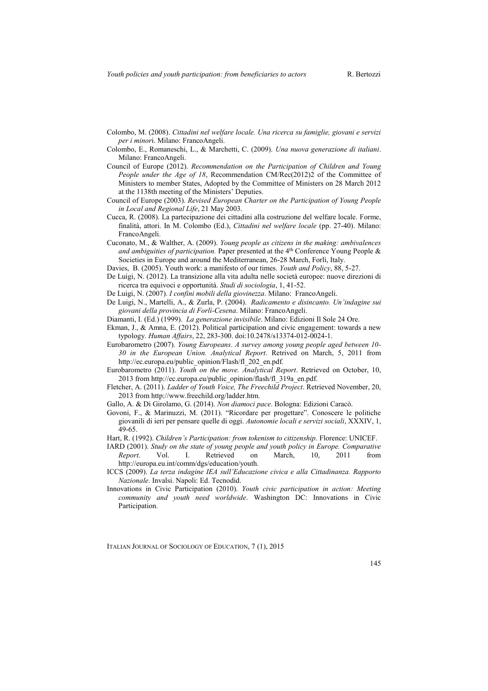- Colombo, M. (2008). *Cittadini nel welfare locale. Una ricerca su famiglie, giovani e servizi per i minor*i. Milano: FrancoAngeli.
- Colombo, E., Romaneschi, L., & Marchetti, C. (2009). *Una nuova generazione di italiani*. Milano: FrancoAngeli.
- Council of Europe (2012). *Recommendation on the Participation of Children and Young People under the Age of 18*, Recommendation CM/Rec(2012)2 of the Committee of Ministers to member States, Adopted by the Committee of Ministers on 28 March 2012 at the 1138th meeting of the Ministers' Deputies.
- Council of Europe (2003). *Revised European Charter on the Participation of Young People in Local and Regional Life*, 21 May 2003.
- Cucca, R. (2008). La partecipazione dei cittadini alla costruzione del welfare locale. Forme, finalità, attori. In M. Colombo (Ed.), *Cittadini nel welfare locale* (pp. 27-40). Milano: FrancoAngeli.
- Cuconato, M., & Walther, A. (2009). *Young people as citizens in the making: ambivalences and ambiguities of participation.* Paper presented at the 4<sup>th</sup> Conference Young People & Societies in Europe and around the Mediterranean, 26-28 March, Forlì, Italy.
- Davies, B. (2005). Youth work: a manifesto of our times. *Youth and Policy*, 88, 5-27.
- De Luigi, N. (2012). La transizione alla vita adulta nelle società europee: nuove direzioni di ricerca tra equivoci e opportunità. *Studi di sociologia*, 1, 41-52.
- De Luigi, N. (2007). *I confini mobili della giovinezza*. Milano: FrancoAngeli.
- De Luigi, N., Martelli, A., & Zurla, P. (2004). *Radicamento e disincanto. Un'indagine sui giovani della provincia di Forlì-Cesena*. Milano: FrancoAngeli.
- Diamanti, I. (Ed.) (1999). *La generazione invisibile*. Milano: Edizioni Il Sole 24 Ore.
- Ekman, J., & Amna, E. (2012). Political participation and civic engagement: towards a new typology. *Human Affairs*, 22, 283-300. doi:10.2478/s13374-012-0024-1.
- Eurobarometro (2007). *Young Europeans. A survey among young people aged between 10- 30 in the European Union. Analytical Report*. Retrived on March, 5, 2011 from http://ec.europa.eu/public\_opinion/Flash/fl\_202\_en.pdf.
- Eurobarometro (2011). *Youth on the move. Analytical Report*. Retrieved on October, 10, 2013 from http://ec.europa.eu/public\_opinion/flash/fl\_319a\_en.pdf.
- Fletcher, A. (2011). *Ladder of Youth Voice, The Freechild Project*. Retrieved November, 20, 2013 from http://www.freechild.org/ladder.htm.
- Gallo, A. & Di Girolamo, G. (2014). *Non diamoci pace*. Bologna: Edizioni Caracò.
- Govoni, F., & Marinuzzi, M. (2011). "Ricordare per progettare". Conoscere le politiche giovanili di ieri per pensare quelle di oggi. *Autonomie locali e servizi sociali*, XXXIV, 1, 49-65.
- Hart, R. (1992). *Children's Participation: from tokenism to citizenship*. Florence: UNICEF.
- IARD (2001). *Study on the state of young people and youth policy in Europe. Comparative Report*. Vol. I. Retrieved on March, 10, 2011 from http://europa.eu.int/comm/dgs/education/youth.
- ICCS (2009). *La terza indagine IEA sull'Educazione civica e alla Cittadinanza. Rapporto Nazionale*. Invalsi. Napoli: Ed. Tecnodid.
- Innovations in Civic Participation (2010). *Youth civic participation in action: Meeting community and youth need worldwide*. Washington DC: Innovations in Civic Participation.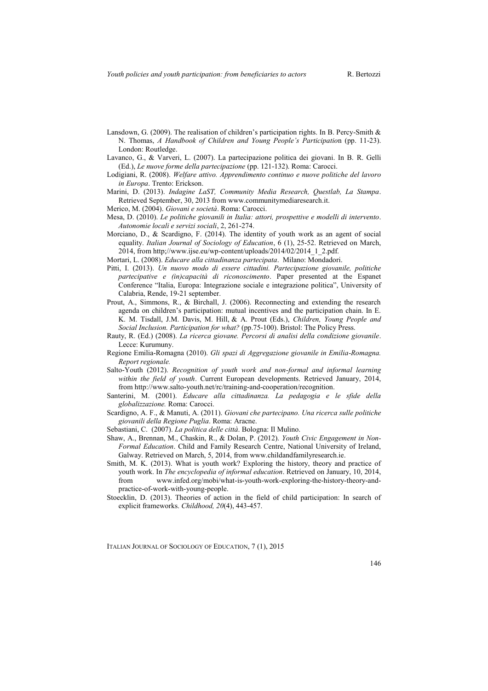- Lansdown, G. (2009). The realisation of children's participation rights. In B. Percy-Smith & N. Thomas, *A Handbook of Children and Young People's Participatio*n (pp. 11-23). London: Routledge.
- Lavanco, G., & Varveri, L. (2007). La partecipazione politica dei giovani. In B. R. Gelli (Ed.), *Le nuove forme della partecipazione* (pp. 121-132). Roma: Carocci.
- Lodigiani, R. (2008). *Welfare attivo. Apprendimento continuo e nuove politiche del lavoro in Europa*. Trento: Erickson.
- Marini, D. (2013). *Indagine LaST, Community Media Research, Questlab, La Stampa*. Retrieved September, 30, 2013 from www.communitymediaresearch.it.
- Merico, M. (2004). *Giovani e società*. Roma: Carocci.
- Mesa, D. (2010). *Le politiche giovanili in Italia: attori, prospettive e modelli di intervento*. *Autonomie locali e servizi sociali*, 2, 261-274.
- Morciano, D., & Scardigno, F. (2014). The identity of youth work as an agent of social equality. *Italian Journal of Sociology of Education*, 6 (1), 25-52. Retrieved on March,  $2014$ , from http://www.ijse.eu/wp-content/uploads/2014/02/2014\_1\_2.pdf.
- Mortari, L. (2008). *Educare alla cittadinanza partecipata*. Milano: Mondadori.
- Pitti, I. (2013). *Un nuovo modo di essere cittadini. Partecipazione giovanile, politiche partecipative e (in)capacità di riconoscimento*. Paper presented at the Espanet Conference "Italia, Europa: Integrazione sociale e integrazione politica", University of Calabria, Rende, 19-21 september.
- Prout, A., Simmons, R., & Birchall, J. (2006). Reconnecting and extending the research agenda on children's participation: mutual incentives and the participation chain. In E. K. M. Tisdall, J.M. Davis, M. Hill, & A. Prout (Eds.), *Children, Young People and Social Inclusion. Participation for what?* (pp.75-100). Bristol: The Policy Press.
- Rauty, R. (Ed.) (2008). *La ricerca giovane. Percorsi di analisi della condizione giovanile*. Lecce: Kurumuny.
- Regione Emilia-Romagna (2010). *Gli spazi di Aggregazione giovanile in Emilia-Romagna. Report regionale.*
- Salto-Youth (2012). *Recognition of youth work and non-formal and informal learning within the field of youth*. Current European developments. Retrieved January, 2014, from http://www.salto-youth.net/rc/training-and-cooperation/recognition.
- Santerini, M. (2001). *Educare alla cittadinanza. La pedagogia e le sfide della globalizzazione.* Roma: Carocci.
- Scardigno, A. F., & Manuti, A. (2011). *Giovani che partecipano. Una ricerca sulle politiche giovanili della Regione Puglia*. Roma: Aracne.
- Sebastiani, C. (2007). *La politica delle città*. Bologna: Il Mulino.
- Shaw, A., Brennan, M., Chaskin, R., & Dolan, P. (2012). *Youth Civic Engagement in Non-Formal Education*. Child and Family Research Centre, National University of Ireland, Galway. Retrieved on March, 5, 2014, from www.childandfamilyresearch.ie.
- Smith, M. K. (2013). What is youth work? Exploring the history, theory and practice of youth work. In *The encyclopedia of informal education*. Retrieved on January, 10, 2014, from www.infed.org/mobi/what-is-youth-work-exploring-the-history-theory-andpractice-of-work-with-young-people.
- Stoecklin, D. (2013). Theories of action in the field of child participation: In search of explicit frameworks. *Childhood, 20*(4), 443-457.